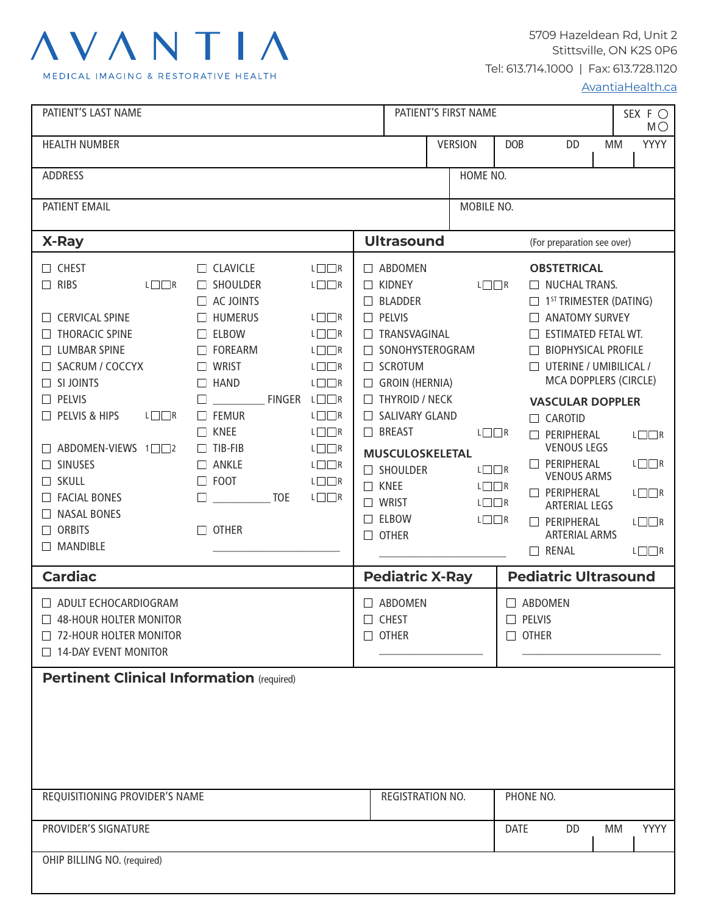# AVANTIA

MEDICAL IMAGING & RESTORATIVE HEALTH

5709 Hazeldean Rd, Unit 2 Stittsville, ON K2S 0P6 Tel: 613.714.1000 | Fax: 613.728.1120

[AvantiaHealth.ca](http://AvantiaHealth.ca)

| PATIENT'S LAST NAME                                                                                                                                                                                                                                                                                                                                                                                                                                                                                                                                                                                                                                                                                                                                                                                                                                                                                                                                                                                                                      | PATIENT'S FIRST NAME                                                                                                                                                                                                                                                                                                                        |                                                                                                                                        |                                                                                                                                                                                                                                                                                                                                                                                                                                                       | SEX F O<br>MO                                                                                                             |
|------------------------------------------------------------------------------------------------------------------------------------------------------------------------------------------------------------------------------------------------------------------------------------------------------------------------------------------------------------------------------------------------------------------------------------------------------------------------------------------------------------------------------------------------------------------------------------------------------------------------------------------------------------------------------------------------------------------------------------------------------------------------------------------------------------------------------------------------------------------------------------------------------------------------------------------------------------------------------------------------------------------------------------------|---------------------------------------------------------------------------------------------------------------------------------------------------------------------------------------------------------------------------------------------------------------------------------------------------------------------------------------------|----------------------------------------------------------------------------------------------------------------------------------------|-------------------------------------------------------------------------------------------------------------------------------------------------------------------------------------------------------------------------------------------------------------------------------------------------------------------------------------------------------------------------------------------------------------------------------------------------------|---------------------------------------------------------------------------------------------------------------------------|
| <b>HEALTH NUMBER</b>                                                                                                                                                                                                                                                                                                                                                                                                                                                                                                                                                                                                                                                                                                                                                                                                                                                                                                                                                                                                                     | <b>VERSION</b>                                                                                                                                                                                                                                                                                                                              | <b>DOB</b>                                                                                                                             | <b>DD</b>                                                                                                                                                                                                                                                                                                                                                                                                                                             | <b>YYYY</b><br>МM                                                                                                         |
| HOME NO.<br><b>ADDRESS</b>                                                                                                                                                                                                                                                                                                                                                                                                                                                                                                                                                                                                                                                                                                                                                                                                                                                                                                                                                                                                               |                                                                                                                                                                                                                                                                                                                                             |                                                                                                                                        |                                                                                                                                                                                                                                                                                                                                                                                                                                                       |                                                                                                                           |
| PATIENT EMAIL                                                                                                                                                                                                                                                                                                                                                                                                                                                                                                                                                                                                                                                                                                                                                                                                                                                                                                                                                                                                                            |                                                                                                                                                                                                                                                                                                                                             | MOBILE NO.                                                                                                                             |                                                                                                                                                                                                                                                                                                                                                                                                                                                       |                                                                                                                           |
| X-Ray                                                                                                                                                                                                                                                                                                                                                                                                                                                                                                                                                                                                                                                                                                                                                                                                                                                                                                                                                                                                                                    | <b>Ultrasound</b>                                                                                                                                                                                                                                                                                                                           |                                                                                                                                        | (For preparation see over)                                                                                                                                                                                                                                                                                                                                                                                                                            |                                                                                                                           |
| $\Box$ CHEST<br>$\Box$ CLAVICLE<br>$L \square \square R$<br><b>RIBS</b><br>$L \square \square R$<br><b>SHOULDER</b><br>$L \square \square R$<br>$\Box$<br>$\perp$<br>$\Box$ AC JOINTS<br>$\Box$ HUMERUS<br>$L \square \square R$<br><b>CERVICAL SPINE</b><br><b>THORACIC SPINE</b><br><b>ELBOW</b><br>$L \square \square R$<br>$\Box$<br><b>LUMBAR SPINE</b><br>$\Box$ FOREARM<br>$L \square \square R$<br>$L \square R$<br>SACRUM / COCCYX<br>$\Box$ WRIST<br>SI JOINTS<br><b>HAND</b><br>$L \square \square R$<br>$\Box$<br>$\Box$<br>PELVIS<br>FINGER L□□R<br>$\perp$<br>PELVIS & HIPS<br>$L \square \square R$<br>$\Box$ FEMUR<br>$L \square \square R$<br>$L \square \square R$<br>$\Box$ KNEE<br>ABDOMEN-VIEWS 1□□2<br>$\Box$ TIB-FIB<br>$L \square \square R$<br><b>SINUSES</b><br>$\Box$ ANKLE<br>$L \square \square R$<br>$\Box$ FOOT<br>$\Box$ SKULL<br>$L \square \square R$<br><b>FACIAL BONES</b><br>$L \square \square R$<br>TOE<br><b>NASAL BONES</b><br><b>ORBITS</b><br><b>OTHER</b><br>$\mathsf{L}$<br><b>MANDIBLE</b> | □ ABDOMEN<br><b>KIDNEY</b><br>$\perp$<br>$\Box$ BLADDER<br>$\Box$ PELVIS<br>TRANSVAGINAL<br>$\Box$<br>SONOHYSTEROGRAM<br>$\Box$ SCROTUM<br>$\Box$ GROIN (HERNIA)<br>$\Box$ THYROID / NECK<br>SALIVARY GLAND<br>$\Box$ BREAST<br><b>MUSCULOSKELETAL</b><br>SHOULDER<br><b>KNEE</b><br>$\Box$<br>$\Box$ WRIST<br>$\Box$ ELBOW<br>$\Box$ OTHER | $L \square \square R$<br>$L \square \square R$<br>$L \Box \Box R$<br>$L \square \square R$<br>$L \square \square R$<br>$L \Box \Box R$ | <b>OBSTETRICAL</b><br>$\Box$ NUCHAL TRANS.<br>$\Box$ 1 <sup>ST</sup> TRIMESTER (DATING)<br>ANATOMY SURVEY<br><b>ESTIMATED FETAL WT.</b><br>П<br><b>BIOPHYSICAL PROFILE</b><br>$\Box$ UTERINE / UMIBILICAL /<br>MCA DOPPLERS (CIRCLE)<br><b>VASCULAR DOPPLER</b><br>$\Box$ CAROTID<br>PERIPHERAL<br><b>VENOUS LEGS</b><br>PERIPHERAL<br><b>VENOUS ARMS</b><br>PERIPHERAL<br><b>ARTERIAL LEGS</b><br>PERIPHERAL<br><b>ARTERIAL ARMS</b><br>$\Box$ RENAL | $L \square \square R$<br>$L \square \square R$<br>$L \square \square R$<br>$L \square \square R$<br>$L \square \square R$ |
| <b>Cardiac</b>                                                                                                                                                                                                                                                                                                                                                                                                                                                                                                                                                                                                                                                                                                                                                                                                                                                                                                                                                                                                                           | <b>Pediatric X-Ray</b>                                                                                                                                                                                                                                                                                                                      |                                                                                                                                        | <b>Pediatric Ultrasound</b>                                                                                                                                                                                                                                                                                                                                                                                                                           |                                                                                                                           |
| ADULT ECHOCARDIOGRAM<br>48-HOUR HOLTER MONITOR<br>$\Box$ 72-HOUR HOLTER MONITOR<br>$\Box$ 14-DAY EVENT MONITOR                                                                                                                                                                                                                                                                                                                                                                                                                                                                                                                                                                                                                                                                                                                                                                                                                                                                                                                           | $\Box$ ABDOMEN<br>$\Box$ CHEST<br>$\Box$ OTHER                                                                                                                                                                                                                                                                                              | $\Box$ PELVIS<br>$\Box$ OTHER                                                                                                          | ABDOMEN                                                                                                                                                                                                                                                                                                                                                                                                                                               |                                                                                                                           |
| <b>Pertinent Clinical Information (required)</b>                                                                                                                                                                                                                                                                                                                                                                                                                                                                                                                                                                                                                                                                                                                                                                                                                                                                                                                                                                                         |                                                                                                                                                                                                                                                                                                                                             |                                                                                                                                        |                                                                                                                                                                                                                                                                                                                                                                                                                                                       |                                                                                                                           |
| REQUISITIONING PROVIDER'S NAME                                                                                                                                                                                                                                                                                                                                                                                                                                                                                                                                                                                                                                                                                                                                                                                                                                                                                                                                                                                                           | REGISTRATION NO.                                                                                                                                                                                                                                                                                                                            |                                                                                                                                        | PHONE NO.                                                                                                                                                                                                                                                                                                                                                                                                                                             |                                                                                                                           |
| PROVIDER'S SIGNATURE                                                                                                                                                                                                                                                                                                                                                                                                                                                                                                                                                                                                                                                                                                                                                                                                                                                                                                                                                                                                                     |                                                                                                                                                                                                                                                                                                                                             | <b>DATE</b>                                                                                                                            | DD                                                                                                                                                                                                                                                                                                                                                                                                                                                    | <b>YYYY</b><br>MM                                                                                                         |
| OHIP BILLING NO. (required)                                                                                                                                                                                                                                                                                                                                                                                                                                                                                                                                                                                                                                                                                                                                                                                                                                                                                                                                                                                                              |                                                                                                                                                                                                                                                                                                                                             |                                                                                                                                        |                                                                                                                                                                                                                                                                                                                                                                                                                                                       |                                                                                                                           |